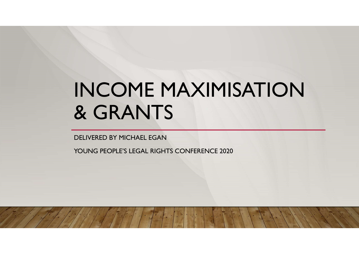# INCOME MAXIMISATION & GRANTS

DELIVERED BY MICHAEL EGAN

YOUNG PEOPLE'S LEGAL RIGHTS CONFERENCE 2020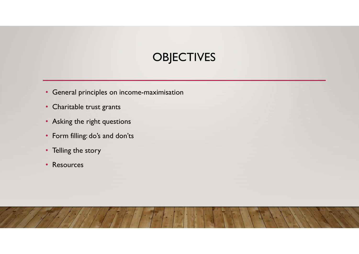# **OBJECTIVES**

- General principles on income-maximisation
- Charitable trust grants
- Asking the right questions
- Form filling: do's and don'ts
- Telling the story
- Resources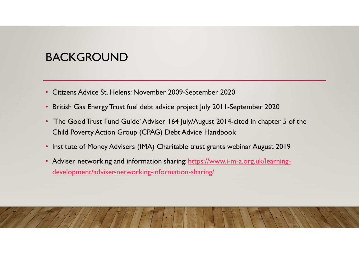#### BACKGROUND

- Citizens Advice St. Helens: November 2009-September 2020
- British Gas Energy Trust fuel debt advice project July 2011-September 2020
- 'The Good Trust Fund Guide' Adviser 164 July/August 2014-cited in chapter 5 of the Child Poverty Action Group (CPAG) Debt Advice Handbook
- Institute of Money Advisers (IMA) Charitable trust grants webinar August 2019
- Adviser networking and information sharing: https://www.i-m-a.org.uk/learningdevelopment/adviser-networking-information-sharing/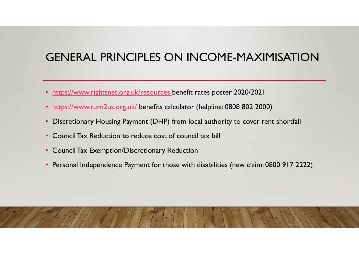# GENERAL PRINCIPLES ON INCOME-MAXIMISATION

- https://www.rightsnet.org.uk/resources benefit rates poster 2020/2021
- https://www.turn2us.org.uk/ benefits calculator (helpline: 0808 802 2000)
- Discretionary Housing Payment (DHP) from local authority to cover rent shortfall
- Council Tax Reduction to reduce cost of council tax bill
- Council Tax Exemption/Discretionary Reduction
- Personal Independence Payment for those with disabilities (new claim: 0800 917 2222)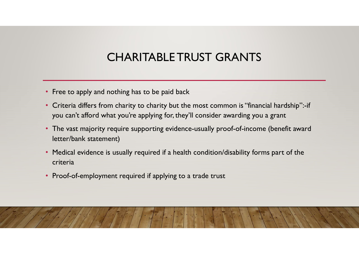# CHARITABLE TRUST GRANTS

- Free to apply and nothing has to be paid back
- Criteria differs from charity to charity but the most common is "financial hardship":-if you can't afford what you're applying for, they'll consider awarding you a grant
- The vast majority require supporting evidence-usually proof-of-income (benefit award letter/bank statement)
- Medical evidence is usually required if a health condition/disability forms part of the criteria
- Proof-of-employment required if applying to a trade trust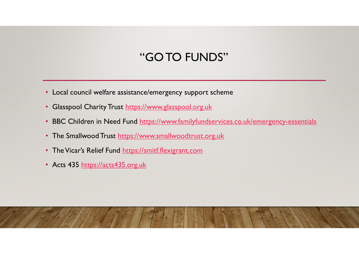#### "GO TO FUNDS"

- Local council welfare assistance/emergency support scheme
- Glasspool Charity Trust https://www.glasspool.org.uk
- BBC Children in Need Fund https://www.familyfundservices.co.uk/emergency-essentials
- The Smallwood Trust https://www.smallwoodtrust.org.uk
- The Vicar's Relief Fund https://smitf.flexigrant.com
- Acts 435 https://acts435.org.uk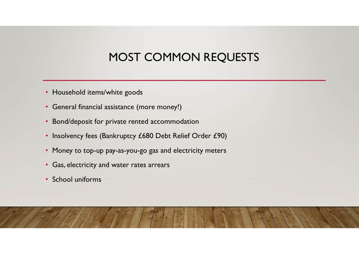# MOST COMMON REQUESTS

- Household items/white goods
- General financial assistance (more money!)
- Bond/deposit for private rented accommodation
- Insolvency fees (Bankruptcy £680 Debt Relief Order £90)
- Money to top-up pay-as-you-go gas and electricity meters
- Gas, electricity and water rates arrears
- School uniforms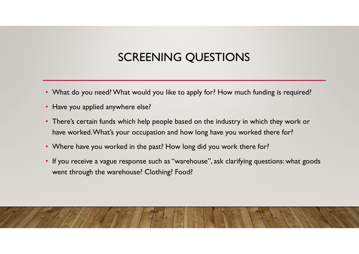# SCREENING QUESTIONS

- What do you need? What would you like to apply for? How much funding is required?
- Have you applied anywhere else?
- There's certain funds which help people based on the industry in which they work or have worked. What's your occupation and how long have you worked there for?
- Where have you worked in the past? How long did you work there for?
- If you receive a vague response such as "warehouse", ask clarifying questions: what goods went through the warehouse? Clothing? Food?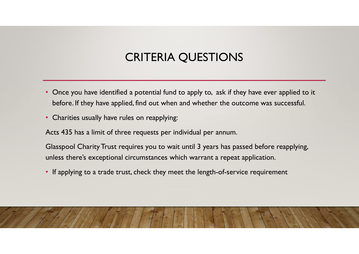### CRITERIA QUESTIONS

- Once you have identified a potential fund to apply to, ask if they have ever applied to it before. If they have applied, find out when and whether the outcome was successful.
- Charities usually have rules on reapplying:

Acts 435 has a limit of three requests per individual per annum.

Glasspool Charity Trust requires you to wait until 3 years has passed before reapplying, unless there's exceptional circumstances which warrant a repeat application.

• If applying to a trade trust, check they meet the length-of-service requirement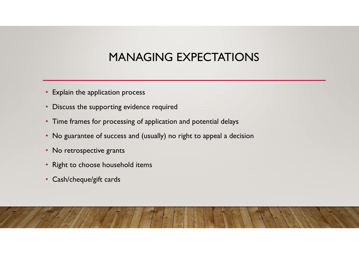### MANAGING EXPECTATIONS

- Explain the application process
- Discuss the supporting evidence required
- Time frames for processing of application and potential delays
- No guarantee of success and (usually) no right to appeal a decision
- No retrospective grants
- Right to choose household items
- Cash/cheque/gift cards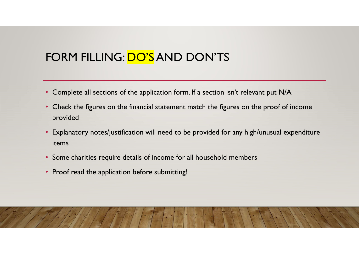# FORM FILLING: DO'S AND DON'TS

- Complete all sections of the application form. If a section isn't relevant put N/A
- Check the figures on the financial statement match the figures on the proof of income provided
- Explanatory notes/justification will need to be provided for any high/unusual expenditure items
- Some charities require details of income for all household members
- Proof read the application before submitting!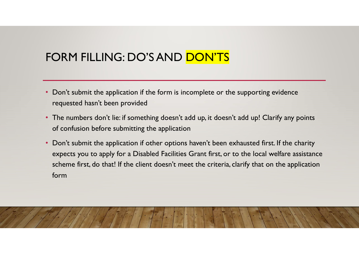#### FORM FILLING: DO'S AND DON'TS

- Don't submit the application if the form is incomplete or the supporting evidence requested hasn't been provided
- The numbers don't lie: if something doesn't add up, it doesn't add up! Clarify any points of confusion before submitting the application
- Don't submit the application if other options haven't been exhausted first. If the charity expects you to apply for a Disabled Facilities Grant first, or to the local welfare assistance scheme first, do that! If the client doesn't meet the criteria, clarify that on the application form

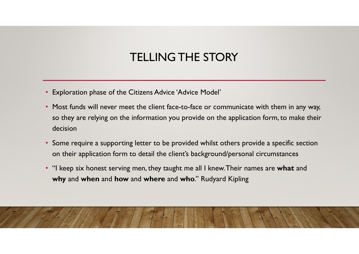# TELLING THE STORY

- Exploration phase of the Citizens Advice 'Advice Model'
- Most funds will never meet the client face-to-face or communicate with them in any way, so they are relying on the information you provide on the application form, to make their decision
- Some require a supporting letter to be provided whilst others provide a specific section on their application form to detail the client's background/personal circumstances
- "I keep six honest serving men, they taught me all I knew. Their names are what and why and when and how and where and who." Rudyard Kipling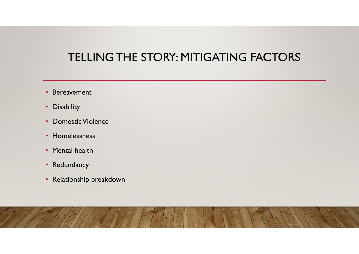#### TELLING THE STORY: MITIGATING FACTORS

- Bereavement
- Disability
- Domestic Violence
- Homelessness
- Mental health
- Redundancy
- Relationship breakdown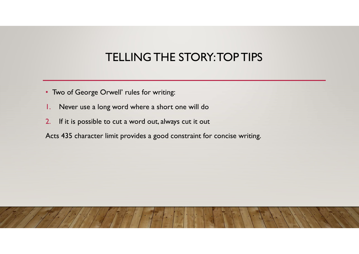# TELLING THE STORY: TOP TIPS

- Two of George Orwell' rules for writing:
- 1. Never use a long word where a short one will do
- 2. If it is possible to cut a word out, always cut it out
- Acts 435 character limit provides a good constraint for concise writing.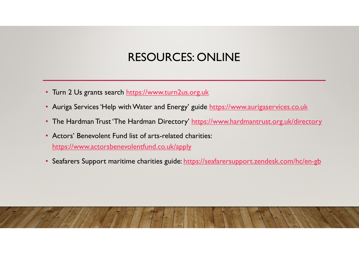#### RESOURCES: ONLINE

- Turn 2 Us grants search https://www.turn2us.org.uk
- Auriga Services 'Help with Water and Energy' guide https://www.aurigaservices.co.uk
- The Hardman Trust 'The Hardman Directory' https://www.hardmantrust.org.uk/directory
- Actors' Benevolent Fund list of arts-related charities: https://www.actorsbenevolentfund.co.uk/apply
- Seafarers Support maritime charities guide: https://seafarersupport.zendesk.com/hc/en-gb